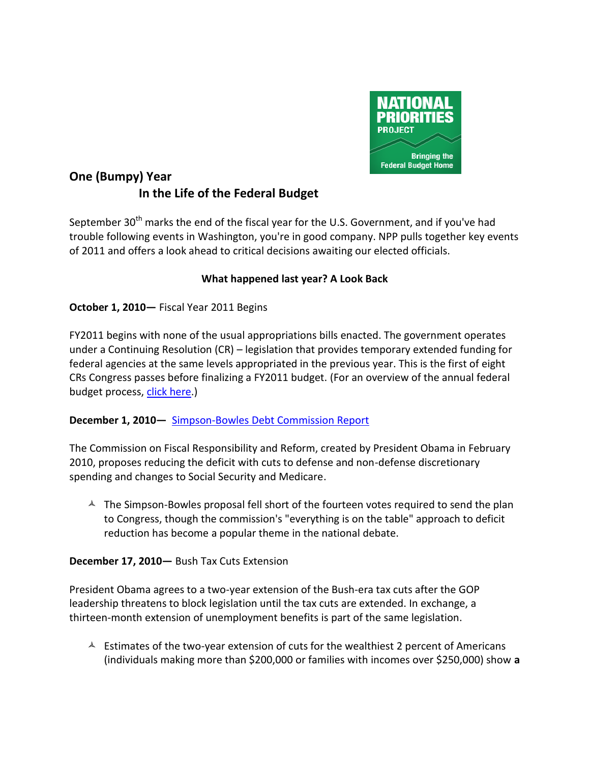

# **One (Bumpy) Year In the Life of the Federal Budget**

September 30<sup>th</sup> marks the end of the fiscal year for the U.S. Government, and if you've had trouble following events in Washington, you're in good company. NPP pulls together key events of 2011 and offers a look ahead to critical decisions awaiting our elected officials.

# **What happened last year? A Look Back**

**October 1, 2010—** Fiscal Year 2011 Begins

FY2011 begins with none of the usual appropriations bills enacted. The government operates under a Continuing Resolution (CR) – legislation that provides temporary extended funding for federal agencies at the same levels appropriated in the previous year. This is the first of eight CRs Congress passes before finalizing a FY2011 budget. (For an overview of the annual federal budget process, [click here.](:%20http:/nationalpriorities.org/en/resources/federal-budget-101/budget-briefs/federal-budget-timeline/))

### **December 1, 2010—** [Simpson-Bowles Debt Commission Report](http://nationalpriorities.org/en/blog/2010/11/16/all-hands-debt-entering-critical-debate-over-federal-deficit-reduction/)

The Commission on Fiscal Responsibility and Reform, created by President Obama in February 2010, proposes reducing the deficit with cuts to defense and non-defense discretionary spending and changes to Social Security and Medicare.

 $\triangle$  The Simpson-Bowles proposal fell short of the fourteen votes required to send the plan to Congress, though the commission's "everything is on the table" approach to deficit reduction has become a popular theme in the national debate.

### **December 17, 2010—** Bush Tax Cuts Extension

President Obama agrees to a two-year extension of the Bush-era tax cuts after the GOP leadership threatens to block legislation until the tax cuts are extended. In exchange, a thirteen-month extension of unemployment benefits is part of the same legislation.

 $\triangle$  Estimates of the two-year extension of cuts for the wealthiest 2 percent of Americans (individuals making more than \$200,000 or families with incomes over \$250,000) show **a**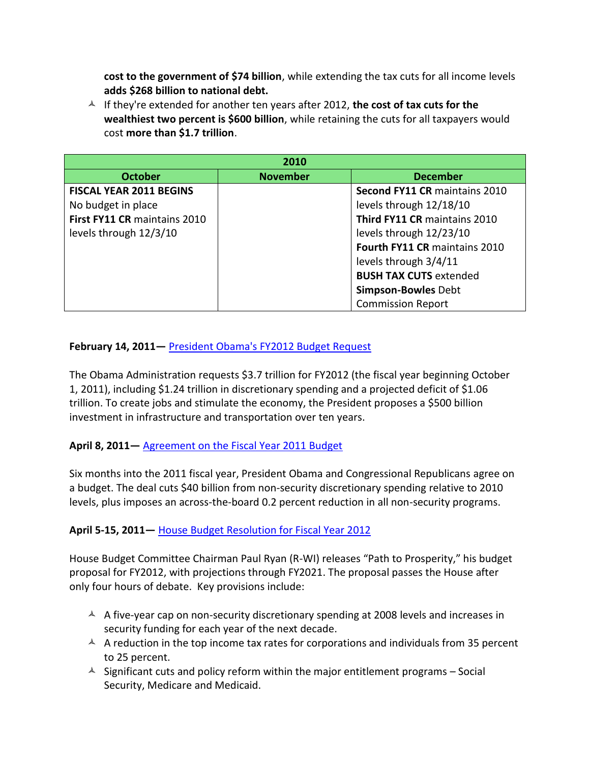**cost to the government of \$74 billion**, while extending the tax cuts for all income levels **adds \$268 billion to national debt.**

 $\uparrow$  If they're extended for another ten years after 2012, the cost of tax cuts for the **wealthiest two percent is \$600 billion**, while retaining the cuts for all taxpayers would cost **more than \$1.7 trillion**.

| 2010                           |                 |                               |  |  |  |
|--------------------------------|-----------------|-------------------------------|--|--|--|
| <b>October</b>                 | <b>November</b> | <b>December</b>               |  |  |  |
| <b>FISCAL YEAR 2011 BEGINS</b> |                 | Second FY11 CR maintains 2010 |  |  |  |
| No budget in place             |                 | levels through 12/18/10       |  |  |  |
| First FY11 CR maintains 2010   |                 | Third FY11 CR maintains 2010  |  |  |  |
| levels through 12/3/10         |                 | levels through 12/23/10       |  |  |  |
|                                |                 | Fourth FY11 CR maintains 2010 |  |  |  |
|                                |                 | levels through 3/4/11         |  |  |  |
|                                |                 | <b>BUSH TAX CUTS extended</b> |  |  |  |
|                                |                 | <b>Simpson-Bowles Debt</b>    |  |  |  |
|                                |                 | <b>Commission Report</b>      |  |  |  |

# **February 14, 2011—** [President Obama's FY2012 Budget Request](http://nationalpriorities.org/en/publications/2011/presidents-budget-fy2012/)

The Obama Administration requests \$3.7 trillion for FY2012 (the fiscal year beginning October 1, 2011), including \$1.24 trillion in discretionary spending and a projected deficit of \$1.06 trillion. To create jobs and stimulate the economy, the President proposes a \$500 billion investment in infrastructure and transportation over ten years.

### **April 8, 2011—** [Agreement on the Fiscal Year 2011 Budget](http://nationalpriorities.org/en/publications/2011/analysis-fiscal-year-2011-budget-agreement/)

Six months into the 2011 fiscal year, President Obama and Congressional Republicans agree on a budget. The deal cuts \$40 billion from non-security discretionary spending relative to 2010 levels, plus imposes an across-the-board 0.2 percent reduction in all non-security programs.

### **April 5-15, 2011—** [House Budget Resolution for Fiscal Year 2012](http://nationalpriorities.org/en/publications/2011/defining-fy2012-budget-debate/)

House Budget Committee Chairman Paul Ryan (R-WI) releases "Path to Prosperity," his budget proposal for FY2012, with projections through FY2021. The proposal passes the House after only four hours of debate. Key provisions include:

- $\textsuperscript{4}$  A five-year cap on non-security discretionary spending at 2008 levels and increases in security funding for each year of the next decade.
- $\uparrow$  A reduction in the top income tax rates for corporations and individuals from 35 percent to 25 percent.
- $\triangle$  Significant cuts and policy reform within the major entitlement programs Social Security, Medicare and Medicaid.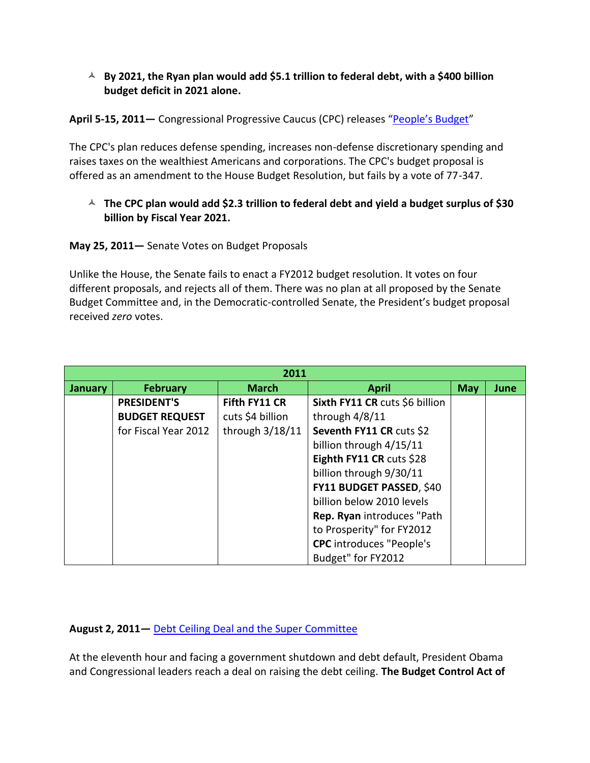### **By 2021, the Ryan plan would add \$5.1 trillion to federal debt, with a \$400 billion budget deficit in 2021 alone.**

### **April 5-15, 2011—** Congressional Progressive Caucus (CPC) releases ["People's Budget"](http://nationalpriorities.org/en/publications/2011/defining-fy2012-budget-debate/)

The CPC's plan reduces defense spending, increases non-defense discretionary spending and raises taxes on the wealthiest Americans and corporations. The CPC's budget proposal is offered as an amendment to the House Budget Resolution, but fails by a vote of 77-347.

# **The CPC plan would add \$2.3 trillion to federal debt and yield a budget surplus of \$30 billion by Fiscal Year 2021.**

# **May 25, 2011—** Senate Votes on Budget Proposals

Unlike the House, the Senate fails to enact a FY2012 budget resolution. It votes on four different proposals, and rejects all of them. There was no plan at all proposed by the Senate Budget Committee and, in the Democratic-controlled Senate, the President's budget proposal received *zero* votes.

| 2011           |                       |                   |                                 |            |      |  |  |  |
|----------------|-----------------------|-------------------|---------------------------------|------------|------|--|--|--|
| <b>January</b> | <b>February</b>       | <b>March</b>      | <b>April</b>                    | <b>May</b> | June |  |  |  |
|                | <b>PRESIDENT'S</b>    | Fifth FY11 CR     | Sixth FY11 CR cuts \$6 billion  |            |      |  |  |  |
|                | <b>BUDGET REQUEST</b> | cuts \$4 billion  | through $4/8/11$                |            |      |  |  |  |
|                | for Fiscal Year 2012  | through $3/18/11$ | Seventh FY11 CR cuts \$2        |            |      |  |  |  |
|                |                       |                   | billion through 4/15/11         |            |      |  |  |  |
|                |                       |                   | Eighth FY11 CR cuts \$28        |            |      |  |  |  |
|                |                       |                   | billion through 9/30/11         |            |      |  |  |  |
|                |                       |                   | FY11 BUDGET PASSED, \$40        |            |      |  |  |  |
|                |                       |                   | billion below 2010 levels       |            |      |  |  |  |
|                |                       |                   | Rep. Ryan introduces "Path      |            |      |  |  |  |
|                |                       |                   | to Prosperity" for FY2012       |            |      |  |  |  |
|                |                       |                   | <b>CPC</b> introduces "People's |            |      |  |  |  |
|                |                       |                   | Budget" for FY2012              |            |      |  |  |  |

### **August 2, 2011—** [Debt Ceiling Deal and the Super Committee](http://www.facebook.com/notes/national-priorities-project/analysis-of-the-debt-ceiling-deal-the-budget-control-act-of-2011/10150337402424924)

At the eleventh hour and facing a government shutdown and debt default, President Obama and Congressional leaders reach a deal on raising the debt ceiling. **The Budget Control Act of**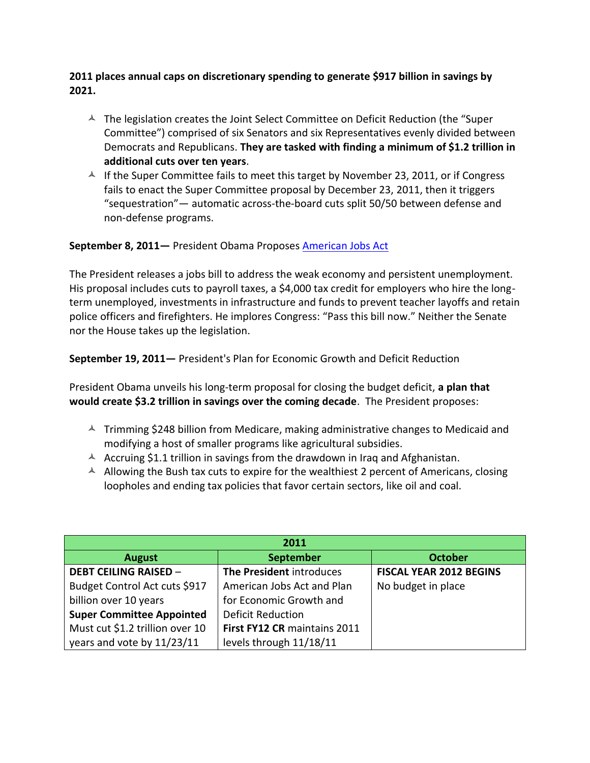**2011 places annual caps on discretionary spending to generate \$917 billion in savings by 2021.**

- $\blacktriangle$  The legislation creates the Joint Select Committee on Deficit Reduction (the "Super Committee") comprised of six Senators and six Representatives evenly divided between Democrats and Republicans. **They are tasked with finding a minimum of \$1.2 trillion in additional cuts over ten years**.
- $\textstyle\bigwedge^2$  If the Super Committee fails to meet this target by November 23, 2011, or if Congress fails to enact the Super Committee proposal by December 23, 2011, then it triggers "sequestration"— automatic across-the-board cuts split 50/50 between defense and non-defense programs.

# **September 8, 2011—** President Obama Proposes **[American Jobs Act](http://nationalpriorities.org/en/blog/2011/09/21/American_Jobs_Act_Scoop/)**

The President releases a jobs bill to address the weak economy and persistent unemployment. His proposal includes cuts to payroll taxes, a \$4,000 tax credit for employers who hire the longterm unemployed, investments in infrastructure and funds to prevent teacher layoffs and retain police officers and firefighters. He implores Congress: "Pass this bill now." Neither the Senate nor the House takes up the legislation.

**September 19, 2011—** President's Plan for Economic Growth and Deficit Reduction

President Obama unveils his long-term proposal for closing the budget deficit, **a plan that would create \$3.2 trillion in savings over the coming decade**. The President proposes:

- $\overline{A}$  Trimming \$248 billion from Medicare, making administrative changes to Medicaid and modifying a host of smaller programs like agricultural subsidies.
- $\sim$  Accruing \$1.1 trillion in savings from the drawdown in Iraq and Afghanistan.
- $\blacktriangle$  Allowing the Bush tax cuts to expire for the wealthiest 2 percent of Americans, closing loopholes and ending tax policies that favor certain sectors, like oil and coal.

| 2011                             |                              |                                |  |  |  |  |
|----------------------------------|------------------------------|--------------------------------|--|--|--|--|
| <b>August</b>                    | <b>September</b>             | <b>October</b>                 |  |  |  |  |
| <b>DEBT CEILING RAISED -</b>     | The President introduces     | <b>FISCAL YEAR 2012 BEGINS</b> |  |  |  |  |
| Budget Control Act cuts \$917    | American Jobs Act and Plan   | No budget in place             |  |  |  |  |
| billion over 10 years            | for Economic Growth and      |                                |  |  |  |  |
| <b>Super Committee Appointed</b> | <b>Deficit Reduction</b>     |                                |  |  |  |  |
| Must cut \$1.2 trillion over 10  | First FY12 CR maintains 2011 |                                |  |  |  |  |
| years and vote by 11/23/11       | levels through 11/18/11      |                                |  |  |  |  |